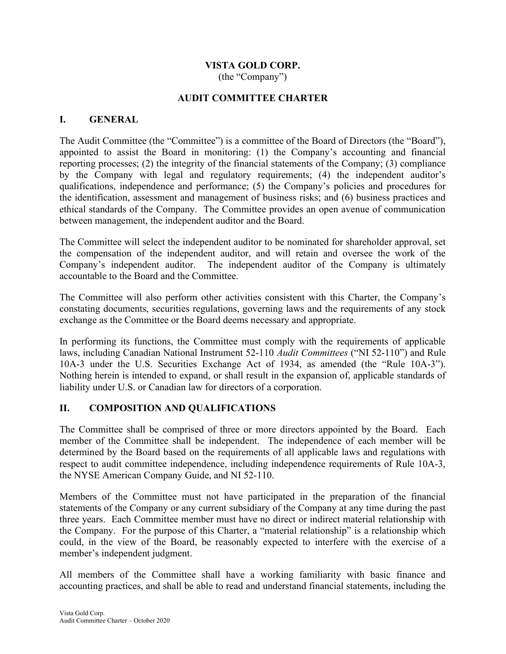# VISTA GOLD CORP.

(the "Company")

### AUDIT COMMITTEE CHARTER

### I. GENERAL

The Audit Committee (the "Committee") is a committee of the Board of Directors (the "Board"), appointed to assist the Board in monitoring: (1) the Company's accounting and financial reporting processes; (2) the integrity of the financial statements of the Company; (3) compliance by the Company with legal and regulatory requirements; (4) the independent auditor's qualifications, independence and performance; (5) the Company's policies and procedures for the identification, assessment and management of business risks; and (6) business practices and ethical standards of the Company. The Committee provides an open avenue of communication between management, the independent auditor and the Board.

The Committee will select the independent auditor to be nominated for shareholder approval, set the compensation of the independent auditor, and will retain and oversee the work of the Company's independent auditor. The independent auditor of the Company is ultimately accountable to the Board and the Committee.

The Committee will also perform other activities consistent with this Charter, the Company's constating documents, securities regulations, governing laws and the requirements of any stock exchange as the Committee or the Board deems necessary and appropriate.

In performing its functions, the Committee must comply with the requirements of applicable laws, including Canadian National Instrument 52-110 Audit Committees ("NI 52-110") and Rule 10A-3 under the U.S. Securities Exchange Act of 1934, as amended (the "Rule 10A-3"). Nothing herein is intended to expand, or shall result in the expansion of, applicable standards of liability under U.S. or Canadian law for directors of a corporation.

### II. COMPOSITION AND QUALIFICATIONS

The Committee shall be comprised of three or more directors appointed by the Board. Each member of the Committee shall be independent. The independence of each member will be determined by the Board based on the requirements of all applicable laws and regulations with respect to audit committee independence, including independence requirements of Rule 10A-3, the NYSE American Company Guide, and NI 52-110.

Members of the Committee must not have participated in the preparation of the financial statements of the Company or any current subsidiary of the Company at any time during the past three years. Each Committee member must have no direct or indirect material relationship with the Company. For the purpose of this Charter, a "material relationship" is a relationship which could, in the view of the Board, be reasonably expected to interfere with the exercise of a member's independent judgment.

All members of the Committee shall have a working familiarity with basic finance and accounting practices, and shall be able to read and understand financial statements, including the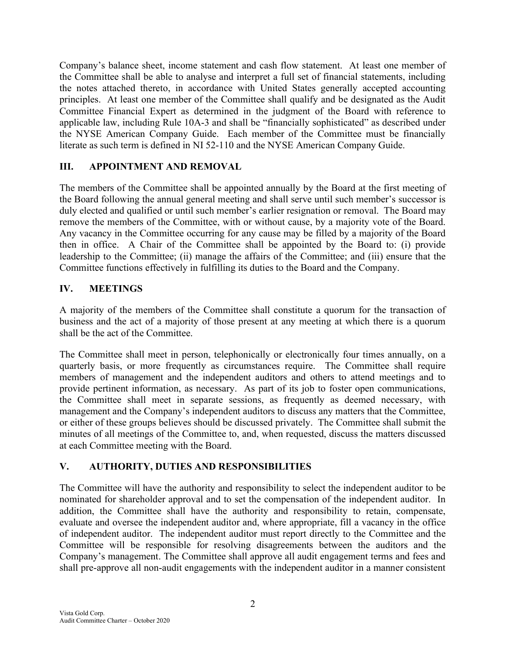Company's balance sheet, income statement and cash flow statement. At least one member of the Committee shall be able to analyse and interpret a full set of financial statements, including the notes attached thereto, in accordance with United States generally accepted accounting principles. At least one member of the Committee shall qualify and be designated as the Audit Committee Financial Expert as determined in the judgment of the Board with reference to applicable law, including Rule 10A-3 and shall be "financially sophisticated" as described under the NYSE American Company Guide. Each member of the Committee must be financially literate as such term is defined in NI 52-110 and the NYSE American Company Guide.

### III. APPOINTMENT AND REMOVAL

The members of the Committee shall be appointed annually by the Board at the first meeting of the Board following the annual general meeting and shall serve until such member's successor is duly elected and qualified or until such member's earlier resignation or removal. The Board may remove the members of the Committee, with or without cause, by a majority vote of the Board. Any vacancy in the Committee occurring for any cause may be filled by a majority of the Board then in office. A Chair of the Committee shall be appointed by the Board to: (i) provide leadership to the Committee; (ii) manage the affairs of the Committee; and (iii) ensure that the Committee functions effectively in fulfilling its duties to the Board and the Company.

## IV. MEETINGS

A majority of the members of the Committee shall constitute a quorum for the transaction of business and the act of a majority of those present at any meeting at which there is a quorum shall be the act of the Committee.

The Committee shall meet in person, telephonically or electronically four times annually, on a quarterly basis, or more frequently as circumstances require. The Committee shall require members of management and the independent auditors and others to attend meetings and to provide pertinent information, as necessary. As part of its job to foster open communications, the Committee shall meet in separate sessions, as frequently as deemed necessary, with management and the Company's independent auditors to discuss any matters that the Committee, or either of these groups believes should be discussed privately. The Committee shall submit the minutes of all meetings of the Committee to, and, when requested, discuss the matters discussed at each Committee meeting with the Board.

## V. AUTHORITY, DUTIES AND RESPONSIBILITIES

The Committee will have the authority and responsibility to select the independent auditor to be nominated for shareholder approval and to set the compensation of the independent auditor. In addition, the Committee shall have the authority and responsibility to retain, compensate, evaluate and oversee the independent auditor and, where appropriate, fill a vacancy in the office of independent auditor. The independent auditor must report directly to the Committee and the Committee will be responsible for resolving disagreements between the auditors and the Company's management. The Committee shall approve all audit engagement terms and fees and shall pre-approve all non-audit engagements with the independent auditor in a manner consistent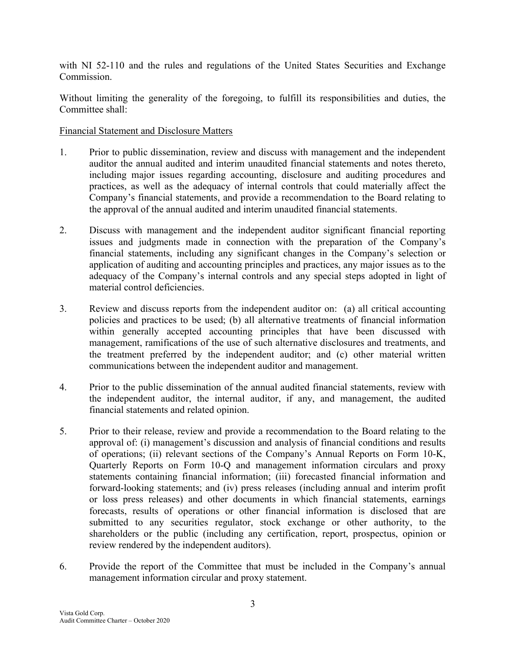with NI 52-110 and the rules and regulations of the United States Securities and Exchange Commission.

Without limiting the generality of the foregoing, to fulfill its responsibilities and duties, the Committee shall:

### Financial Statement and Disclosure Matters

- 1. Prior to public dissemination, review and discuss with management and the independent auditor the annual audited and interim unaudited financial statements and notes thereto, including major issues regarding accounting, disclosure and auditing procedures and practices, as well as the adequacy of internal controls that could materially affect the Company's financial statements, and provide a recommendation to the Board relating to the approval of the annual audited and interim unaudited financial statements.
- 2. Discuss with management and the independent auditor significant financial reporting issues and judgments made in connection with the preparation of the Company's financial statements, including any significant changes in the Company's selection or application of auditing and accounting principles and practices, any major issues as to the adequacy of the Company's internal controls and any special steps adopted in light of material control deficiencies.
- 3. Review and discuss reports from the independent auditor on: (a) all critical accounting policies and practices to be used; (b) all alternative treatments of financial information within generally accepted accounting principles that have been discussed with management, ramifications of the use of such alternative disclosures and treatments, and the treatment preferred by the independent auditor; and (c) other material written communications between the independent auditor and management.
- 4. Prior to the public dissemination of the annual audited financial statements, review with the independent auditor, the internal auditor, if any, and management, the audited financial statements and related opinion.
- 5. Prior to their release, review and provide a recommendation to the Board relating to the approval of: (i) management's discussion and analysis of financial conditions and results of operations; (ii) relevant sections of the Company's Annual Reports on Form 10-K, Quarterly Reports on Form 10-Q and management information circulars and proxy statements containing financial information; (iii) forecasted financial information and forward-looking statements; and (iv) press releases (including annual and interim profit or loss press releases) and other documents in which financial statements, earnings forecasts, results of operations or other financial information is disclosed that are submitted to any securities regulator, stock exchange or other authority, to the shareholders or the public (including any certification, report, prospectus, opinion or review rendered by the independent auditors).
- 6. Provide the report of the Committee that must be included in the Company's annual management information circular and proxy statement.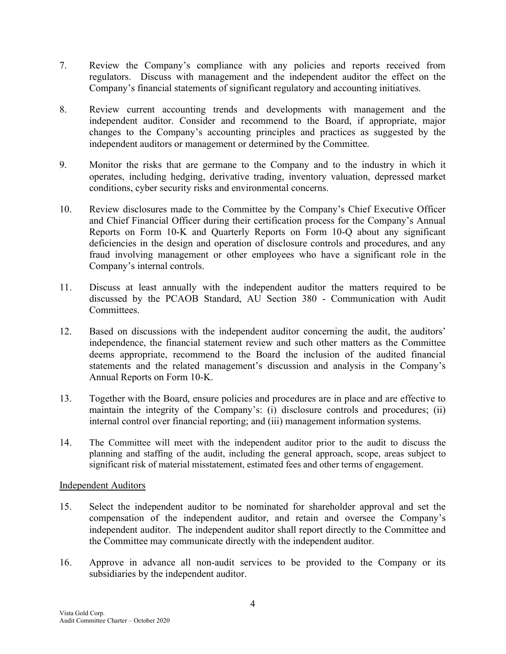- 7. Review the Company's compliance with any policies and reports received from regulators. Discuss with management and the independent auditor the effect on the Company's financial statements of significant regulatory and accounting initiatives.
- 8. Review current accounting trends and developments with management and the independent auditor. Consider and recommend to the Board, if appropriate, major changes to the Company's accounting principles and practices as suggested by the independent auditors or management or determined by the Committee.
- 9. Monitor the risks that are germane to the Company and to the industry in which it operates, including hedging, derivative trading, inventory valuation, depressed market conditions, cyber security risks and environmental concerns.
- 10. Review disclosures made to the Committee by the Company's Chief Executive Officer and Chief Financial Officer during their certification process for the Company's Annual Reports on Form 10-K and Quarterly Reports on Form 10-Q about any significant deficiencies in the design and operation of disclosure controls and procedures, and any fraud involving management or other employees who have a significant role in the Company's internal controls.
- 11. Discuss at least annually with the independent auditor the matters required to be discussed by the PCAOB Standard, AU Section 380 - Communication with Audit Committees.
- 12. Based on discussions with the independent auditor concerning the audit, the auditors' independence, the financial statement review and such other matters as the Committee deems appropriate, recommend to the Board the inclusion of the audited financial statements and the related management's discussion and analysis in the Company's Annual Reports on Form 10-K.
- 13. Together with the Board, ensure policies and procedures are in place and are effective to maintain the integrity of the Company's: (i) disclosure controls and procedures; (ii) internal control over financial reporting; and (iii) management information systems.
- 14. The Committee will meet with the independent auditor prior to the audit to discuss the planning and staffing of the audit, including the general approach, scope, areas subject to significant risk of material misstatement, estimated fees and other terms of engagement.

### Independent Auditors

- 15. Select the independent auditor to be nominated for shareholder approval and set the compensation of the independent auditor, and retain and oversee the Company's independent auditor. The independent auditor shall report directly to the Committee and the Committee may communicate directly with the independent auditor.
- 16. Approve in advance all non-audit services to be provided to the Company or its subsidiaries by the independent auditor.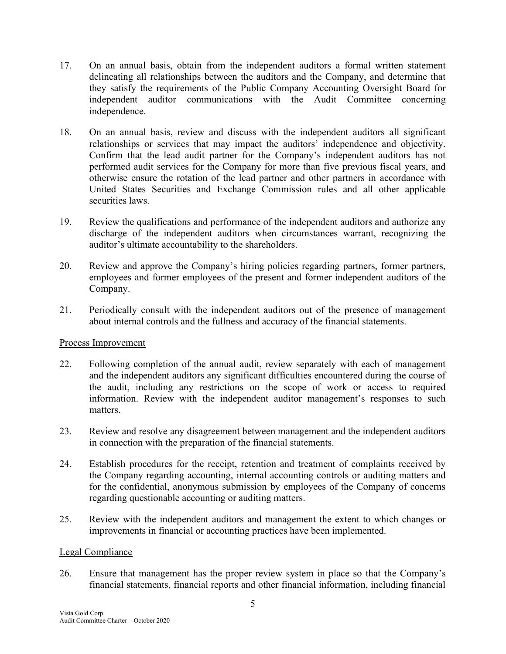- 17. On an annual basis, obtain from the independent auditors a formal written statement delineating all relationships between the auditors and the Company, and determine that they satisfy the requirements of the Public Company Accounting Oversight Board for independent auditor communications with the Audit Committee concerning independence.
- 18. On an annual basis, review and discuss with the independent auditors all significant relationships or services that may impact the auditors' independence and objectivity. Confirm that the lead audit partner for the Company's independent auditors has not performed audit services for the Company for more than five previous fiscal years, and otherwise ensure the rotation of the lead partner and other partners in accordance with United States Securities and Exchange Commission rules and all other applicable securities laws.
- 19. Review the qualifications and performance of the independent auditors and authorize any discharge of the independent auditors when circumstances warrant, recognizing the auditor's ultimate accountability to the shareholders.
- 20. Review and approve the Company's hiring policies regarding partners, former partners, employees and former employees of the present and former independent auditors of the Company.
- 21. Periodically consult with the independent auditors out of the presence of management about internal controls and the fullness and accuracy of the financial statements.

### Process Improvement

- 22. Following completion of the annual audit, review separately with each of management and the independent auditors any significant difficulties encountered during the course of the audit, including any restrictions on the scope of work or access to required information. Review with the independent auditor management's responses to such matters.
- 23. Review and resolve any disagreement between management and the independent auditors in connection with the preparation of the financial statements.
- 24. Establish procedures for the receipt, retention and treatment of complaints received by the Company regarding accounting, internal accounting controls or auditing matters and for the confidential, anonymous submission by employees of the Company of concerns regarding questionable accounting or auditing matters.
- 25. Review with the independent auditors and management the extent to which changes or improvements in financial or accounting practices have been implemented.

#### Legal Compliance

26. Ensure that management has the proper review system in place so that the Company's financial statements, financial reports and other financial information, including financial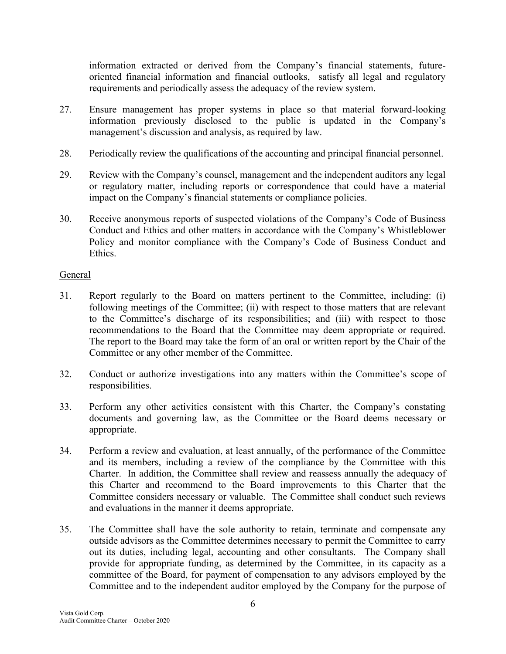information extracted or derived from the Company's financial statements, futureoriented financial information and financial outlooks, satisfy all legal and regulatory requirements and periodically assess the adequacy of the review system.

- 27. Ensure management has proper systems in place so that material forward-looking information previously disclosed to the public is updated in the Company's management's discussion and analysis, as required by law.
- 28. Periodically review the qualifications of the accounting and principal financial personnel.
- 29. Review with the Company's counsel, management and the independent auditors any legal or regulatory matter, including reports or correspondence that could have a material impact on the Company's financial statements or compliance policies.
- 30. Receive anonymous reports of suspected violations of the Company's Code of Business Conduct and Ethics and other matters in accordance with the Company's Whistleblower Policy and monitor compliance with the Company's Code of Business Conduct and Ethics.

### General

- 31. Report regularly to the Board on matters pertinent to the Committee, including: (i) following meetings of the Committee; (ii) with respect to those matters that are relevant to the Committee's discharge of its responsibilities; and (iii) with respect to those recommendations to the Board that the Committee may deem appropriate or required. The report to the Board may take the form of an oral or written report by the Chair of the Committee or any other member of the Committee.
- 32. Conduct or authorize investigations into any matters within the Committee's scope of responsibilities.
- 33. Perform any other activities consistent with this Charter, the Company's constating documents and governing law, as the Committee or the Board deems necessary or appropriate.
- 34. Perform a review and evaluation, at least annually, of the performance of the Committee and its members, including a review of the compliance by the Committee with this Charter. In addition, the Committee shall review and reassess annually the adequacy of this Charter and recommend to the Board improvements to this Charter that the Committee considers necessary or valuable. The Committee shall conduct such reviews and evaluations in the manner it deems appropriate.
- 35. The Committee shall have the sole authority to retain, terminate and compensate any outside advisors as the Committee determines necessary to permit the Committee to carry out its duties, including legal, accounting and other consultants. The Company shall provide for appropriate funding, as determined by the Committee, in its capacity as a committee of the Board, for payment of compensation to any advisors employed by the Committee and to the independent auditor employed by the Company for the purpose of